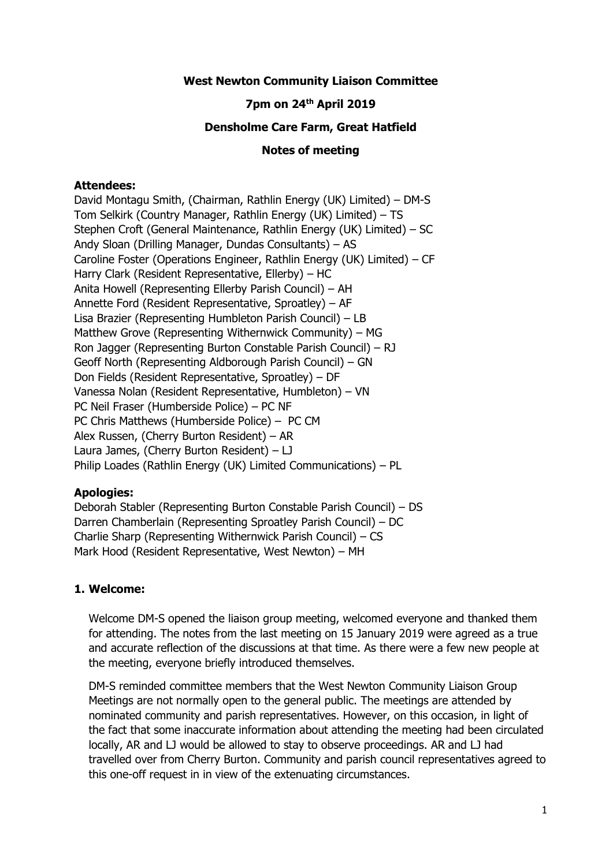### **West Newton Community Liaison Committee**

### **7pm on 24th April 2019**

### **Densholme Care Farm, Great Hatfield**

#### **Notes of meeting**

### **Attendees:**

David Montagu Smith, (Chairman, Rathlin Energy (UK) Limited) – DM-S Tom Selkirk (Country Manager, Rathlin Energy (UK) Limited) – TS Stephen Croft (General Maintenance, Rathlin Energy (UK) Limited) – SC Andy Sloan (Drilling Manager, Dundas Consultants) – AS Caroline Foster (Operations Engineer, Rathlin Energy (UK) Limited) – CF Harry Clark (Resident Representative, Ellerby) – HC Anita Howell (Representing Ellerby Parish Council) – AH Annette Ford (Resident Representative, Sproatley) – AF Lisa Brazier (Representing Humbleton Parish Council) – LB Matthew Grove (Representing Withernwick Community) – MG Ron Jagger (Representing Burton Constable Parish Council) – RJ Geoff North (Representing Aldborough Parish Council) – GN Don Fields (Resident Representative, Sproatley) – DF Vanessa Nolan (Resident Representative, Humbleton) – VN PC Neil Fraser (Humberside Police) – PC NF PC Chris Matthews (Humberside Police) – PC CM Alex Russen, (Cherry Burton Resident) – AR Laura James, (Cherry Burton Resident) – LJ Philip Loades (Rathlin Energy (UK) Limited Communications) – PL

#### **Apologies:**

Deborah Stabler (Representing Burton Constable Parish Council) – DS Darren Chamberlain (Representing Sproatley Parish Council) – DC Charlie Sharp (Representing Withernwick Parish Council) – CS Mark Hood (Resident Representative, West Newton) – MH

#### **1. Welcome:**

Welcome DM-S opened the liaison group meeting, welcomed everyone and thanked them for attending. The notes from the last meeting on 15 January 2019 were agreed as a true and accurate reflection of the discussions at that time. As there were a few new people at the meeting, everyone briefly introduced themselves.

DM-S reminded committee members that the West Newton Community Liaison Group Meetings are not normally open to the general public. The meetings are attended by nominated community and parish representatives. However, on this occasion, in light of the fact that some inaccurate information about attending the meeting had been circulated locally, AR and LJ would be allowed to stay to observe proceedings. AR and LJ had travelled over from Cherry Burton. Community and parish council representatives agreed to this one-off request in in view of the extenuating circumstances.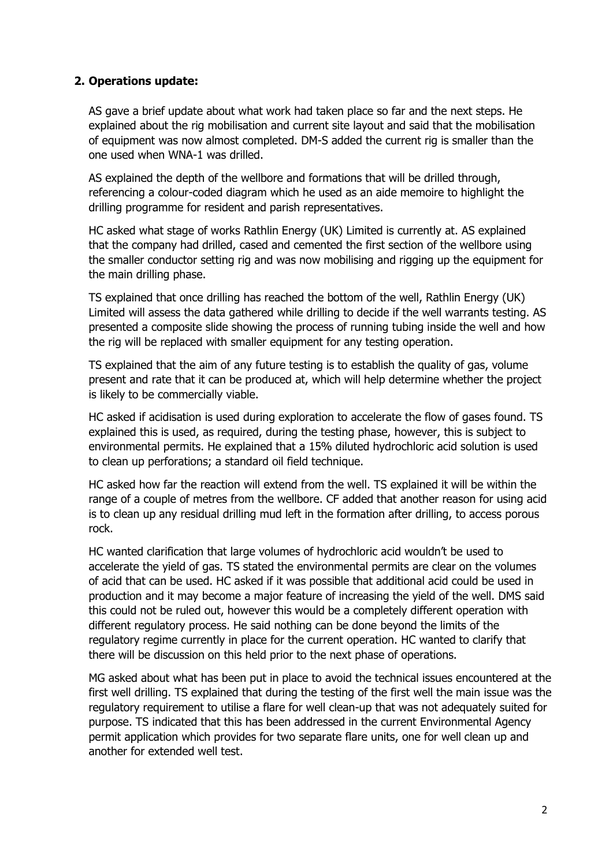# **2. Operations update:**

AS gave a brief update about what work had taken place so far and the next steps. He explained about the rig mobilisation and current site layout and said that the mobilisation of equipment was now almost completed. DM-S added the current rig is smaller than the one used when WNA-1 was drilled.

AS explained the depth of the wellbore and formations that will be drilled through, referencing a colour-coded diagram which he used as an aide memoire to highlight the drilling programme for resident and parish representatives.

HC asked what stage of works Rathlin Energy (UK) Limited is currently at. AS explained that the company had drilled, cased and cemented the first section of the wellbore using the smaller conductor setting rig and was now mobilising and rigging up the equipment for the main drilling phase.

TS explained that once drilling has reached the bottom of the well, Rathlin Energy (UK) Limited will assess the data gathered while drilling to decide if the well warrants testing. AS presented a composite slide showing the process of running tubing inside the well and how the rig will be replaced with smaller equipment for any testing operation.

TS explained that the aim of any future testing is to establish the quality of gas, volume present and rate that it can be produced at, which will help determine whether the project is likely to be commercially viable.

HC asked if acidisation is used during exploration to accelerate the flow of gases found. TS explained this is used, as required, during the testing phase, however, this is subject to environmental permits. He explained that a 15% diluted hydrochloric acid solution is used to clean up perforations; a standard oil field technique.

HC asked how far the reaction will extend from the well. TS explained it will be within the range of a couple of metres from the wellbore. CF added that another reason for using acid is to clean up any residual drilling mud left in the formation after drilling, to access porous rock.

HC wanted clarification that large volumes of hydrochloric acid wouldn't be used to accelerate the yield of gas. TS stated the environmental permits are clear on the volumes of acid that can be used. HC asked if it was possible that additional acid could be used in production and it may become a major feature of increasing the yield of the well. DMS said this could not be ruled out, however this would be a completely different operation with different regulatory process. He said nothing can be done beyond the limits of the regulatory regime currently in place for the current operation. HC wanted to clarify that there will be discussion on this held prior to the next phase of operations.

MG asked about what has been put in place to avoid the technical issues encountered at the first well drilling. TS explained that during the testing of the first well the main issue was the regulatory requirement to utilise a flare for well clean-up that was not adequately suited for purpose. TS indicated that this has been addressed in the current Environmental Agency permit application which provides for two separate flare units, one for well clean up and another for extended well test.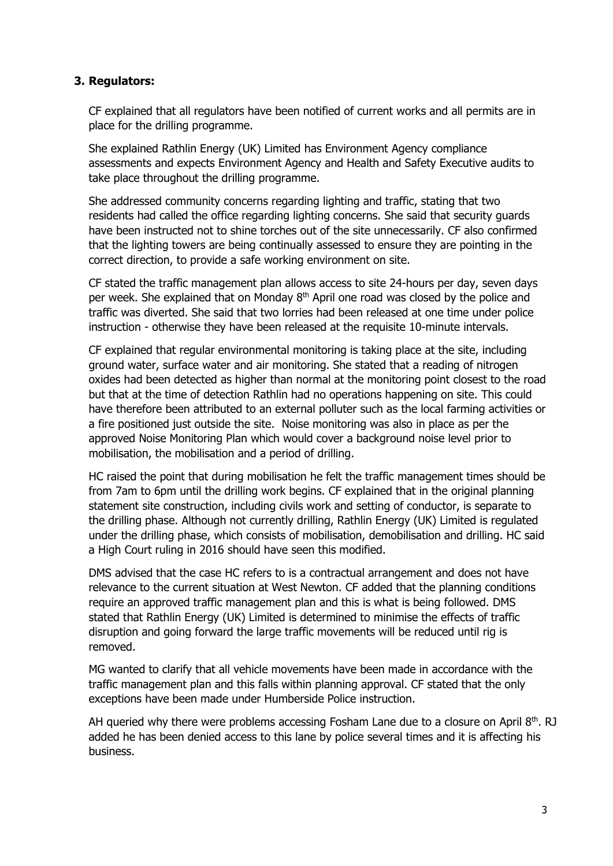# **3. Regulators:**

CF explained that all regulators have been notified of current works and all permits are in place for the drilling programme.

She explained Rathlin Energy (UK) Limited has Environment Agency compliance assessments and expects Environment Agency and Health and Safety Executive audits to take place throughout the drilling programme.

She addressed community concerns regarding lighting and traffic, stating that two residents had called the office regarding lighting concerns. She said that security guards have been instructed not to shine torches out of the site unnecessarily. CF also confirmed that the lighting towers are being continually assessed to ensure they are pointing in the correct direction, to provide a safe working environment on site.

CF stated the traffic management plan allows access to site 24-hours per day, seven days per week. She explained that on Monday  $8<sup>th</sup>$  April one road was closed by the police and traffic was diverted. She said that two lorries had been released at one time under police instruction - otherwise they have been released at the requisite 10-minute intervals.

CF explained that regular environmental monitoring is taking place at the site, including ground water, surface water and air monitoring. She stated that a reading of nitrogen oxides had been detected as higher than normal at the monitoring point closest to the road but that at the time of detection Rathlin had no operations happening on site. This could have therefore been attributed to an external polluter such as the local farming activities or a fire positioned just outside the site. Noise monitoring was also in place as per the approved Noise Monitoring Plan which would cover a background noise level prior to mobilisation, the mobilisation and a period of drilling.

HC raised the point that during mobilisation he felt the traffic management times should be from 7am to 6pm until the drilling work begins. CF explained that in the original planning statement site construction, including civils work and setting of conductor, is separate to the drilling phase. Although not currently drilling, Rathlin Energy (UK) Limited is regulated under the drilling phase, which consists of mobilisation, demobilisation and drilling. HC said a High Court ruling in 2016 should have seen this modified.

DMS advised that the case HC refers to is a contractual arrangement and does not have relevance to the current situation at West Newton. CF added that the planning conditions require an approved traffic management plan and this is what is being followed. DMS stated that Rathlin Energy (UK) Limited is determined to minimise the effects of traffic disruption and going forward the large traffic movements will be reduced until rig is removed.

MG wanted to clarify that all vehicle movements have been made in accordance with the traffic management plan and this falls within planning approval. CF stated that the only exceptions have been made under Humberside Police instruction.

AH queried why there were problems accessing Fosham Lane due to a closure on April 8<sup>th</sup>. RJ added he has been denied access to this lane by police several times and it is affecting his business.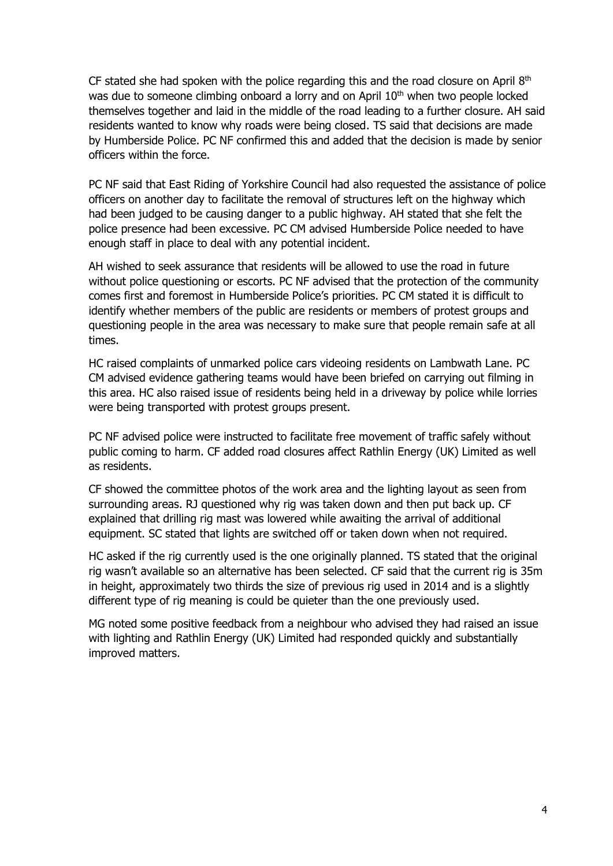CF stated she had spoken with the police regarding this and the road closure on April  $8<sup>th</sup>$ was due to someone climbing onboard a lorry and on April 10<sup>th</sup> when two people locked themselves together and laid in the middle of the road leading to a further closure. AH said residents wanted to know why roads were being closed. TS said that decisions are made by Humberside Police. PC NF confirmed this and added that the decision is made by senior officers within the force.

PC NF said that East Riding of Yorkshire Council had also requested the assistance of police officers on another day to facilitate the removal of structures left on the highway which had been judged to be causing danger to a public highway. AH stated that she felt the police presence had been excessive. PC CM advised Humberside Police needed to have enough staff in place to deal with any potential incident.

AH wished to seek assurance that residents will be allowed to use the road in future without police questioning or escorts. PC NF advised that the protection of the community comes first and foremost in Humberside Police's priorities. PC CM stated it is difficult to identify whether members of the public are residents or members of protest groups and questioning people in the area was necessary to make sure that people remain safe at all times.

HC raised complaints of unmarked police cars videoing residents on Lambwath Lane. PC CM advised evidence gathering teams would have been briefed on carrying out filming in this area. HC also raised issue of residents being held in a driveway by police while lorries were being transported with protest groups present.

PC NF advised police were instructed to facilitate free movement of traffic safely without public coming to harm. CF added road closures affect Rathlin Energy (UK) Limited as well as residents.

CF showed the committee photos of the work area and the lighting layout as seen from surrounding areas. RJ questioned why rig was taken down and then put back up. CF explained that drilling rig mast was lowered while awaiting the arrival of additional equipment. SC stated that lights are switched off or taken down when not required.

HC asked if the rig currently used is the one originally planned. TS stated that the original rig wasn't available so an alternative has been selected. CF said that the current rig is 35m in height, approximately two thirds the size of previous rig used in 2014 and is a slightly different type of rig meaning is could be quieter than the one previously used.

MG noted some positive feedback from a neighbour who advised they had raised an issue with lighting and Rathlin Energy (UK) Limited had responded quickly and substantially improved matters.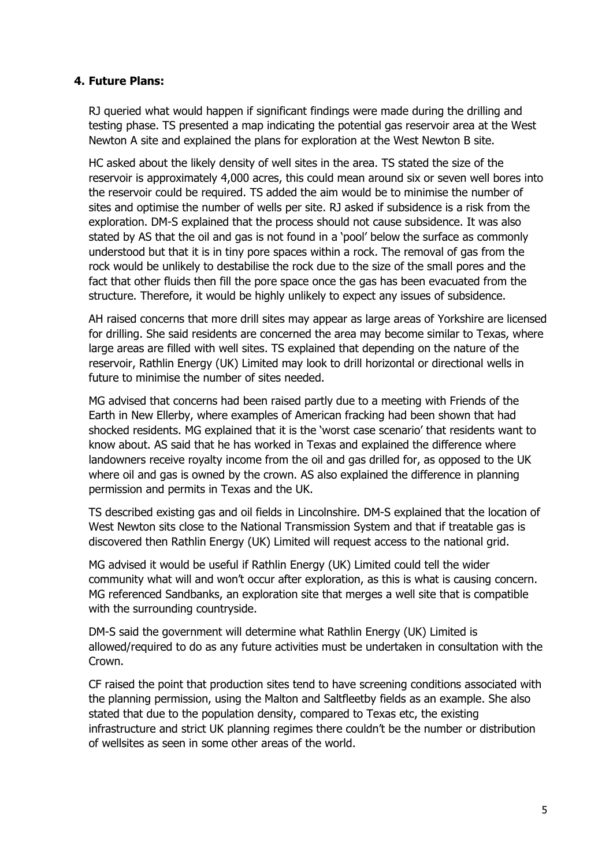## **4. Future Plans:**

RJ queried what would happen if significant findings were made during the drilling and testing phase. TS presented a map indicating the potential gas reservoir area at the West Newton A site and explained the plans for exploration at the West Newton B site.

HC asked about the likely density of well sites in the area. TS stated the size of the reservoir is approximately 4,000 acres, this could mean around six or seven well bores into the reservoir could be required. TS added the aim would be to minimise the number of sites and optimise the number of wells per site. RJ asked if subsidence is a risk from the exploration. DM-S explained that the process should not cause subsidence. It was also stated by AS that the oil and gas is not found in a 'pool' below the surface as commonly understood but that it is in tiny pore spaces within a rock. The removal of gas from the rock would be unlikely to destabilise the rock due to the size of the small pores and the fact that other fluids then fill the pore space once the gas has been evacuated from the structure. Therefore, it would be highly unlikely to expect any issues of subsidence.

AH raised concerns that more drill sites may appear as large areas of Yorkshire are licensed for drilling. She said residents are concerned the area may become similar to Texas, where large areas are filled with well sites. TS explained that depending on the nature of the reservoir, Rathlin Energy (UK) Limited may look to drill horizontal or directional wells in future to minimise the number of sites needed.

MG advised that concerns had been raised partly due to a meeting with Friends of the Earth in New Ellerby, where examples of American fracking had been shown that had shocked residents. MG explained that it is the 'worst case scenario' that residents want to know about. AS said that he has worked in Texas and explained the difference where landowners receive royalty income from the oil and gas drilled for, as opposed to the UK where oil and gas is owned by the crown. AS also explained the difference in planning permission and permits in Texas and the UK.

TS described existing gas and oil fields in Lincolnshire. DM-S explained that the location of West Newton sits close to the National Transmission System and that if treatable gas is discovered then Rathlin Energy (UK) Limited will request access to the national grid.

MG advised it would be useful if Rathlin Energy (UK) Limited could tell the wider community what will and won't occur after exploration, as this is what is causing concern. MG referenced Sandbanks, an exploration site that merges a well site that is compatible with the surrounding countryside.

DM-S said the government will determine what Rathlin Energy (UK) Limited is allowed/required to do as any future activities must be undertaken in consultation with the Crown.

CF raised the point that production sites tend to have screening conditions associated with the planning permission, using the Malton and Saltfleetby fields as an example. She also stated that due to the population density, compared to Texas etc, the existing infrastructure and strict UK planning regimes there couldn't be the number or distribution of wellsites as seen in some other areas of the world.